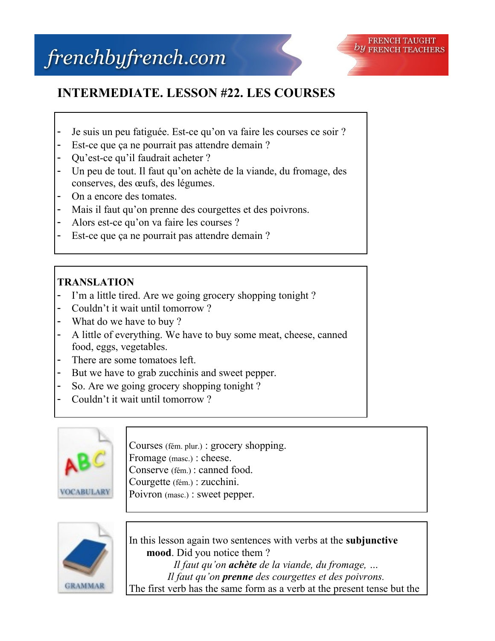

## **INTERMEDIATE. LESSON #22. LES COURSES**

- Je suis un peu fatiguée. Est-ce qu'on va faire les courses ce soir ?
- Est-ce que ça ne pourrait pas attendre demain ?
- Ou'est-ce qu'il faudrait acheter ?
- Un peu de tout. Il faut qu'on achète de la viande, du fromage, des conserves, des œufs, des légumes.
- On a encore des tomates.
- Mais il faut qu'on prenne des courgettes et des poivrons.
- Alors est-ce qu'on va faire les courses ?
- Est-ce que ça ne pourrait pas attendre demain ?

## **TRANSLATION**

- I'm a little tired. Are we going grocery shopping tonight ?
- Couldn't it wait until tomorrow ?
- What do we have to buy?
- A little of everything. We have to buy some meat, cheese, canned food, eggs, vegetables.
- There are some tomatoes left.
- But we have to grab zucchinis and sweet pepper.
- So. Are we going grocery shopping tonight?
- Couldn't it wait until tomorrow?



Courses (fém. plur.) : grocery shopping. Fromage (masc.) : cheese. Conserve (fém.) : canned food. Courgette (fém.) : zucchini. Poivron (masc.) : sweet pepper.



In this lesson again two sentences with verbs at the **subjunctive mood**. Did you notice them ? *Il faut qu'on achète de la viande, du fromage, … Il faut qu'on prenne des courgettes et des poivrons.* The first verb has the same form as a verb at the present tense but the